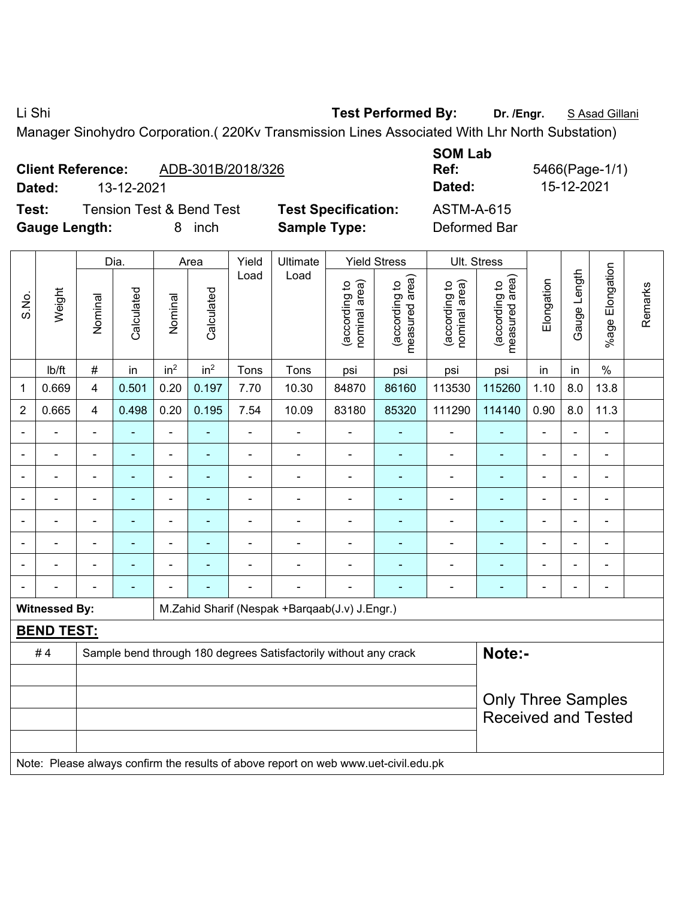Li Shi **Test Performed By: Dr. /Engr.** S Asad Gillani

Manager Sinohydro Corporation.( 220Kv Transmission Lines Associated With Lhr North Substation)

| <b>Client Reference:</b> |                                                  | ADB-301B/2018/326 |
|--------------------------|--------------------------------------------------|-------------------|
| <b>B</b> - 4 - -1        | $\overline{10}$ $\overline{10}$ $\overline{001}$ |                   |

**Test:** Tension Test & Bend Test **Test Specification:** ASTM-A-615 **Gauge Length:** 8 inch **Sample Type:** Deformed Bar

**SOM Lab Ref:** 5466(Page-1/1) **Dated:** 13-12-2021 **Dated:** 15-12-2021

|                          |                      |                         | Dia.           |                 | Area            | Yield          | Ultimate                                                         |                                | <b>Yield Stress</b>             | Ult. Stress                    |                                 |                |                |                       |         |
|--------------------------|----------------------|-------------------------|----------------|-----------------|-----------------|----------------|------------------------------------------------------------------|--------------------------------|---------------------------------|--------------------------------|---------------------------------|----------------|----------------|-----------------------|---------|
| S.No.                    | Weight               | Nominal                 | Calculated     | Nominal         | Calculated      | Load           | Load                                                             | nominal area)<br>(according to | (according to<br>measured area) | nominal area)<br>(according to | (according to<br>measured area) | Elongation     | Gauge Length   | Elongation<br>$%$ age | Remarks |
|                          | lb/ft                | $\#$                    | in             | in <sup>2</sup> | in <sup>2</sup> | Tons           | Tons                                                             | psi                            | psi                             | psi                            | psi                             | in             | in             | $\%$                  |         |
| $\mathbf{1}$             | 0.669                | $\overline{\mathbf{4}}$ | 0.501          | 0.20            | 0.197           | 7.70           | 10.30                                                            | 84870                          | 86160                           | 113530                         | 115260                          | 1.10           | 8.0            | 13.8                  |         |
| $\overline{2}$           | 0.665                | $\overline{4}$          | 0.498          | 0.20            | 0.195           | 7.54           | 10.09                                                            | 83180                          | 85320                           | 111290                         | 114140                          | 0.90           | 8.0            | 11.3                  |         |
| $\blacksquare$           |                      | $\blacksquare$          |                | $\blacksquare$  | $\blacksquare$  | ÷,             |                                                                  |                                | ÷                               | $\blacksquare$                 | $\blacksquare$                  | ä,             |                | ÷,                    |         |
| $\blacksquare$           | ۰                    | $\blacksquare$          | ä,             | $\blacksquare$  | $\blacksquare$  | $\blacksquare$ | $\blacksquare$                                                   | $\blacksquare$                 | $\blacksquare$                  | $\blacksquare$                 | $\blacksquare$                  | $\blacksquare$ |                | $\blacksquare$        |         |
|                          |                      |                         | $\blacksquare$ |                 | ۰               |                |                                                                  |                                | $\blacksquare$                  | $\blacksquare$                 | ۰                               | $\blacksquare$ |                | $\blacksquare$        |         |
| $\overline{\phantom{0}}$ |                      | $\blacksquare$          | L              |                 |                 |                |                                                                  |                                |                                 | $\blacksquare$                 |                                 |                |                | $\blacksquare$        |         |
| $\blacksquare$           | ÷                    | $\blacksquare$          | ÷,             | $\blacksquare$  | ÷               | $\blacksquare$ | Ē,                                                               | $\overline{\phantom{a}}$       | $\blacksquare$                  | $\blacksquare$                 | ۰                               | Ē,             | $\blacksquare$ | $\blacksquare$        |         |
| ÷                        |                      | $\blacksquare$          | ÷              |                 |                 | $\blacksquare$ | Ē,                                                               | ä,                             | ÷                               | $\blacksquare$                 | ۰                               | L,             |                | $\blacksquare$        |         |
|                          |                      |                         | $\blacksquare$ |                 |                 |                |                                                                  | ä,                             | $\overline{\phantom{0}}$        | $\blacksquare$                 | ۰                               |                |                | $\blacksquare$        |         |
|                          |                      |                         |                |                 |                 |                |                                                                  |                                |                                 |                                |                                 |                |                | $\blacksquare$        |         |
|                          | <b>Witnessed By:</b> |                         |                |                 |                 |                | M.Zahid Sharif (Nespak +Barqaab(J.v) J.Engr.)                    |                                |                                 |                                |                                 |                |                |                       |         |
|                          | <b>BEND TEST:</b>    |                         |                |                 |                 |                |                                                                  |                                |                                 |                                |                                 |                |                |                       |         |
|                          | #4                   |                         |                |                 |                 |                | Sample bend through 180 degrees Satisfactorily without any crack |                                |                                 |                                | Note:-                          |                |                |                       |         |
|                          |                      |                         |                |                 |                 |                |                                                                  |                                |                                 |                                |                                 |                |                |                       |         |
|                          |                      |                         |                |                 |                 |                |                                                                  |                                |                                 |                                | <b>Only Three Samples</b>       |                |                |                       |         |
|                          |                      |                         |                |                 |                 |                |                                                                  |                                |                                 |                                | <b>Received and Tested</b>      |                |                |                       |         |
|                          |                      |                         |                |                 |                 |                |                                                                  |                                |                                 |                                |                                 |                |                |                       |         |
|                          |                      |                         |                |                 |                 |                |                                                                  |                                |                                 |                                |                                 |                |                |                       |         |

Note: Please always confirm the results of above report on web www.uet-civil.edu.pk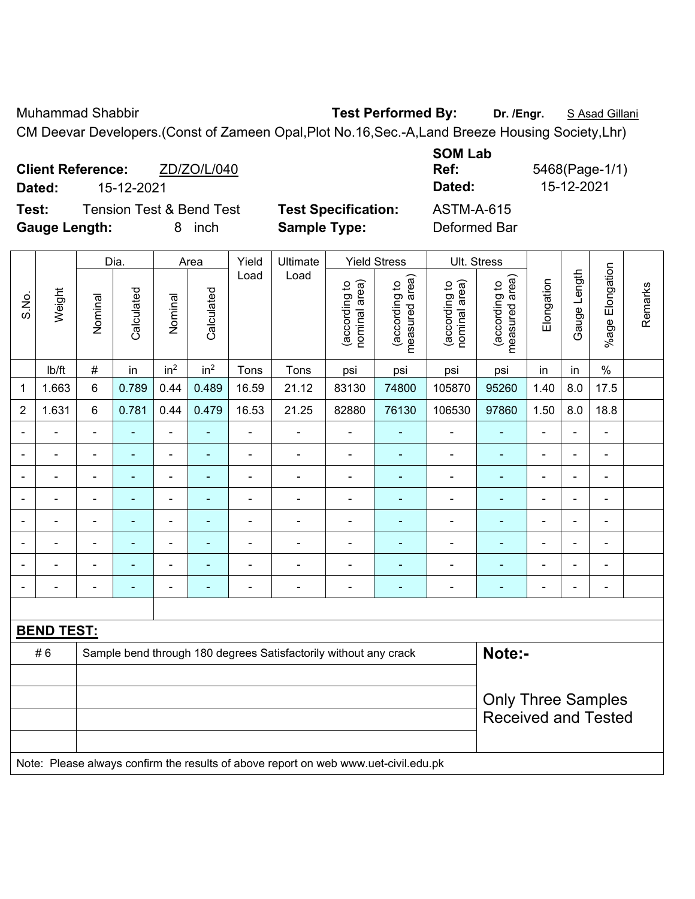Muhammad Shabbir **Test Performed By:** Dr. /Engr. **SAsad Gillani** 

CM Deevar Developers.(Const of Zameen Opal,Plot No.16,Sec.-A,Land Breeze Housing Society,Lhr)

|        | <b>Client Reference:</b> | ZD/ZO/L/040                         |       |
|--------|--------------------------|-------------------------------------|-------|
| Dated: | 15-12-2021               |                                     |       |
| Test:  |                          | <b>Tension Test &amp; Bend Test</b> | Test⊹ |

**SOM Lab Ref:** 5468(Page-1/1) **Dated:** 15-12-2021 **Dated:** 15-12-2021

Remarks

Remarks

| <b>Gauge Length:</b> |                   |                |                | 8<br>inch                |                 | <b>Sample Type:</b> |                                                                  |                                | Deformed Bar                    |                                |                                                         |                          |                |                 |  |
|----------------------|-------------------|----------------|----------------|--------------------------|-----------------|---------------------|------------------------------------------------------------------|--------------------------------|---------------------------------|--------------------------------|---------------------------------------------------------|--------------------------|----------------|-----------------|--|
|                      |                   |                | Dia.           |                          | Area            | Yield               | Ultimate                                                         |                                | <b>Yield Stress</b>             | <b>Ult. Stress</b>             |                                                         |                          |                |                 |  |
| S.No.                | Weight            | Nominal        | Calculated     | Nominal                  | Calculated      | Load                | Load                                                             | nominal area)<br>(according to | measured area)<br>(according to | nominal area)<br>(according to | (according to<br>measured area)                         | Elongation               | Gauge Length   | %age Elongation |  |
|                      | Ib/ft             | $\#$           | in             | in <sup>2</sup>          | in <sup>2</sup> | Tons                | Tons                                                             | psi                            | psi                             | psi                            | psi                                                     | in                       | in             | $\%$            |  |
| $\mathbf 1$          | 1.663             | $6\phantom{1}$ | 0.789          | 0.44                     | 0.489           | 16.59               | 21.12                                                            | 83130                          | 74800                           | 105870                         | 95260                                                   | 1.40                     | 8.0            | 17.5            |  |
| $\boldsymbol{2}$     | 1.631             | $\,6\,$        | 0.781          | 0.44                     | 0.479           | 16.53               | 21.25                                                            | 82880                          | 76130                           | 106530                         | 97860                                                   | 1.50                     | 8.0            | 18.8            |  |
| $\blacksquare$       |                   | $\blacksquare$ | $\blacksquare$ | $\overline{\phantom{0}}$ | ۰               | ÷                   |                                                                  | $\overline{\phantom{a}}$       | ۰                               | $\qquad \qquad \blacksquare$   | $\blacksquare$                                          | ÷                        |                |                 |  |
| $\blacksquare$       | $\blacksquare$    | $\blacksquare$ | ۰              | $\blacksquare$           | ۰               | $\blacksquare$      | $\overline{a}$                                                   | $\blacksquare$                 | ٠                               | $\overline{\phantom{a}}$       | $\overline{\phantom{a}}$                                | $\overline{\phantom{a}}$ | $\blacksquare$ | $\blacksquare$  |  |
| $\overline{a}$       |                   |                |                | $\blacksquare$           | ۰               |                     |                                                                  | $\overline{a}$                 | ۰                               | $\overline{a}$                 | ٠                                                       | $\blacksquare$           |                |                 |  |
|                      |                   |                |                | $\overline{a}$           |                 |                     | $\overline{a}$                                                   | $\overline{a}$                 |                                 | $\blacksquare$                 |                                                         | $\overline{a}$           |                |                 |  |
| $\blacksquare$       | $\overline{a}$    |                |                | ÷                        | ۰               |                     |                                                                  | $\overline{a}$                 | ۰                               | $\blacksquare$                 | $\blacksquare$                                          | ÷                        | $\blacksquare$ |                 |  |
| $\blacksquare$       |                   |                |                | ÷,                       | ÷               | $\blacksquare$      | $\blacksquare$                                                   | ÷                              | ÷                               | $\blacksquare$                 | $\blacksquare$                                          | ÷,                       |                | ä,              |  |
|                      |                   |                |                | ۰                        |                 |                     |                                                                  | $\overline{a}$                 | $\blacksquare$                  | $\blacksquare$                 | ٠                                                       | $\overline{a}$           |                |                 |  |
|                      |                   | $\blacksquare$ | ۰              | -                        | ۰               | $\blacksquare$      | $\blacksquare$                                                   | $\blacksquare$                 | ۰                               | $\overline{\phantom{a}}$       | $\blacksquare$                                          | $\overline{a}$           | $\blacksquare$ | $\blacksquare$  |  |
|                      |                   |                |                |                          |                 |                     |                                                                  |                                |                                 |                                |                                                         |                          |                |                 |  |
|                      | <u>BEND TEST:</u> |                |                |                          |                 |                     |                                                                  |                                |                                 |                                |                                                         |                          |                |                 |  |
|                      | #6                |                |                |                          |                 |                     | Sample bend through 180 degrees Satisfactorily without any crack |                                |                                 |                                | Note:-                                                  |                          |                |                 |  |
|                      |                   |                |                |                          |                 |                     |                                                                  |                                |                                 |                                | <b>Only Three Samples</b><br><b>Received and Tested</b> |                          |                |                 |  |

Note: Please always confirm the results of above report on web www.uet-civil.edu.pk

Specification: **ASTM-A-615**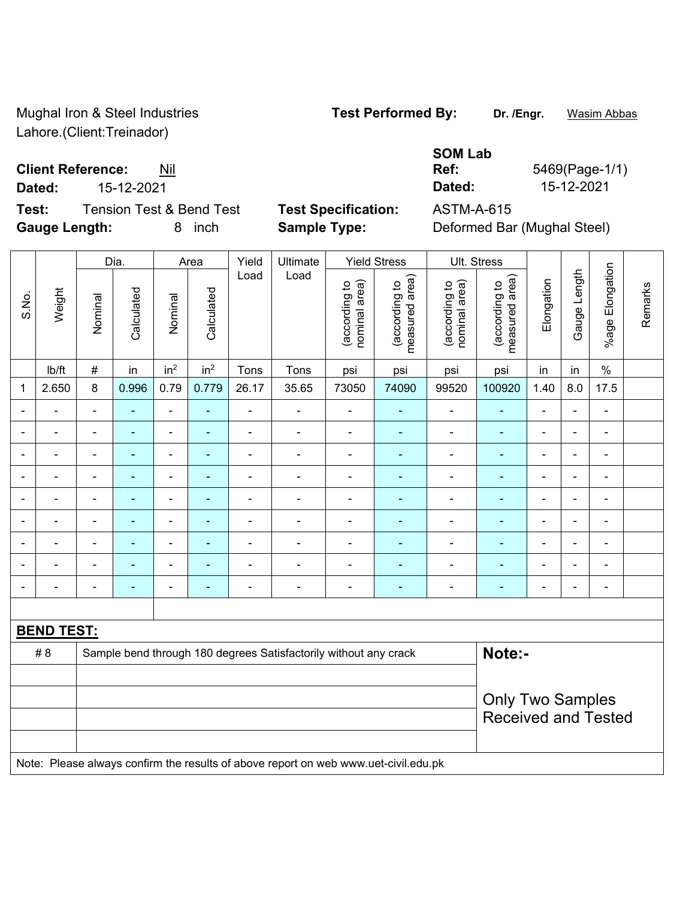Mughal Iron & Steel Industries **Test Performed By:** Dr. /Engr. **Wasim Abbas** Lahore.(Client:Treinador)

**Client Reference:** Nil

**Test:** Tension Test & Bend Test **Test Specification:** ASTM-A-615 **Gauge Length:** 8 inch **Sample Type:** Deformed Bar (Mughal Steel)

**SOM Lab Ref:** 5469(Page-1/1) **Dated:** 15-12-2021 **Dated:** 15-12-2021

|                |                   |                | Dia.           |                 | Area            | Yield                    | Ultimate                                                                            |                                | <b>Yield Stress</b>             |                                | Ult. Stress                     |                |                |                          |         |
|----------------|-------------------|----------------|----------------|-----------------|-----------------|--------------------------|-------------------------------------------------------------------------------------|--------------------------------|---------------------------------|--------------------------------|---------------------------------|----------------|----------------|--------------------------|---------|
| S.No.          | Weight            | Nominal        | Calculated     | Nominal         | Calculated      | Load                     | Load                                                                                | (according to<br>nominal area) | (according to<br>measured area) | (according to<br>nominal area) | (according to<br>measured area) | Elongation     | Gauge Length   | %age Elongation          | Remarks |
|                | lb/ft             | $\#$           | in             | in <sup>2</sup> | in <sup>2</sup> | Tons                     | Tons                                                                                | psi                            | psi                             | psi                            | psi                             | in             | in             | $\%$                     |         |
| $\mathbf{1}$   | 2.650             | 8              | 0.996          | 0.79            | 0.779           | 26.17                    | 35.65                                                                               | 73050                          | 74090                           | 99520                          | 100920                          | 1.40           | 8.0            | 17.5                     |         |
|                |                   | $\blacksquare$ | ä,             | $\blacksquare$  | ä,              | $\blacksquare$           | ä,                                                                                  | $\overline{a}$                 | $\blacksquare$                  | $\blacksquare$                 | $\blacksquare$                  | ÷.             | $\overline{a}$ | $\blacksquare$           |         |
|                |                   | $\blacksquare$ | $\blacksquare$ | $\blacksquare$  |                 | $\blacksquare$           | ä,                                                                                  | $\blacksquare$                 |                                 | $\blacksquare$                 | ÷                               | $\blacksquare$ | $\blacksquare$ | $\blacksquare$           |         |
|                |                   | $\blacksquare$ | $\blacksquare$ | $\blacksquare$  | ٠               | $\blacksquare$           | ÷                                                                                   | $\blacksquare$                 |                                 | ÷                              | $\blacksquare$                  | $\blacksquare$ | $\blacksquare$ | $\overline{\phantom{a}}$ |         |
| $\blacksquare$ | $\blacksquare$    | $\blacksquare$ | ÷              | $\blacksquare$  | $\blacksquare$  | $\frac{1}{2}$            | ÷,                                                                                  | $\blacksquare$                 | $\blacksquare$                  | $\overline{\phantom{0}}$       | ٠                               | ۰              | $\blacksquare$ | $\blacksquare$           |         |
|                | ä,                | $\blacksquare$ | $\blacksquare$ | $\blacksquare$  | Ē.              | $\blacksquare$           | ÷,                                                                                  | $\blacksquare$                 | $\blacksquare$                  | ÷,                             | ä,                              | $\blacksquare$ | $\blacksquare$ | $\blacksquare$           |         |
|                | ÷                 | $\blacksquare$ | ä,             | ä,              | L.              | ä,                       | ä,                                                                                  | $\blacksquare$                 | $\overline{a}$                  | ä,                             | ä,                              | $\blacksquare$ | $\blacksquare$ | ä,                       |         |
|                |                   |                |                | $\blacksquare$  |                 | $\blacksquare$           | $\blacksquare$                                                                      | $\blacksquare$                 |                                 | -                              | $\blacksquare$                  |                | $\blacksquare$ | $\blacksquare$           |         |
|                |                   |                | $\blacksquare$ | $\blacksquare$  |                 | $\blacksquare$           | ÷                                                                                   | $\blacksquare$                 |                                 | -                              | $\blacksquare$                  | ۰              | $\blacksquare$ | $\blacksquare$           |         |
| $\blacksquare$ | $\blacksquare$    | ۰              | $\blacksquare$ | $\blacksquare$  | $\blacksquare$  | $\overline{\phantom{a}}$ | ÷,                                                                                  | $\blacksquare$                 | $\blacksquare$                  | $\overline{\phantom{0}}$       | ٠                               | $\blacksquare$ | $\blacksquare$ | $\blacksquare$           |         |
|                |                   |                |                |                 |                 |                          |                                                                                     |                                |                                 |                                |                                 |                |                |                          |         |
|                | <b>BEND TEST:</b> |                |                |                 |                 |                          |                                                                                     |                                |                                 |                                |                                 |                |                |                          |         |
|                | #8                |                |                |                 |                 |                          | Sample bend through 180 degrees Satisfactorily without any crack                    |                                |                                 |                                | Note:-                          |                |                |                          |         |
|                |                   |                |                |                 |                 |                          |                                                                                     |                                |                                 |                                |                                 |                |                |                          |         |
|                |                   |                |                |                 |                 |                          |                                                                                     |                                |                                 |                                | <b>Only Two Samples</b>         |                |                |                          |         |
|                |                   |                |                |                 |                 |                          |                                                                                     |                                |                                 |                                | <b>Received and Tested</b>      |                |                |                          |         |
|                |                   |                |                |                 |                 |                          | Note: Please always confirm the results of above report on web www.uet-civil.edu.pk |                                |                                 |                                |                                 |                |                |                          |         |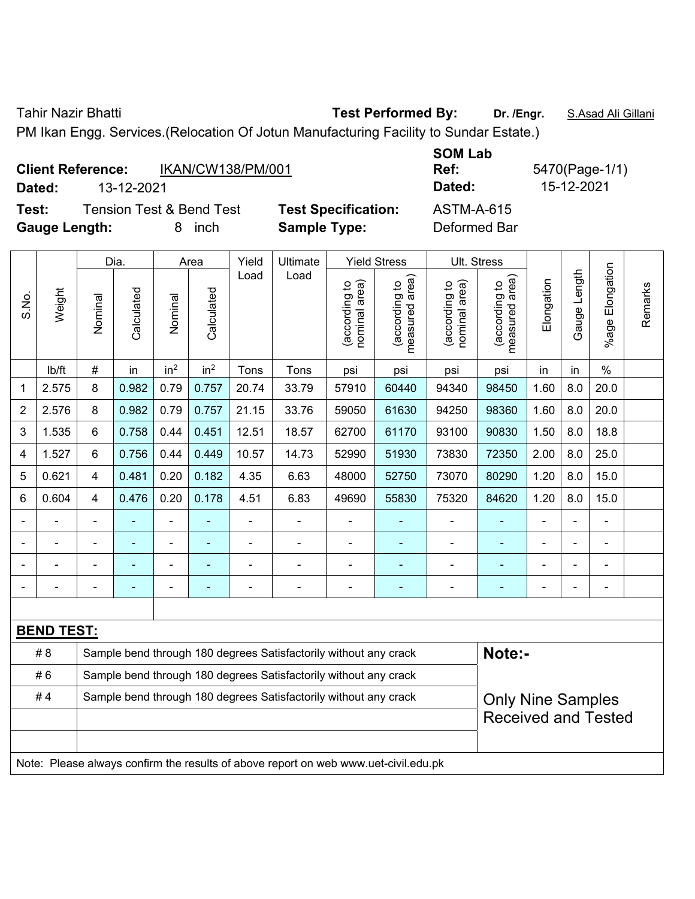Tahir Nazir Bhatti **Test Performed By: Dr. /Engr.** S.Asad Ali Gillani

PM Ikan Engg. Services.(Relocation Of Jotun Manufacturing Facility to Sundar Estate.)

|        | <b>Client Reference:</b><br>IKAN/CW138/PM/001 |                            | UVII LUM<br>Ref: |
|--------|-----------------------------------------------|----------------------------|------------------|
| Dated: | 13-12-2021                                    |                            | Dated:           |
| Test:  | <b>Tension Test &amp; Bend Test</b>           | <b>Test Specification:</b> | ASTM-A-615       |

**Gauge Length:** 8 inch **Sample Type:** Deformed Bar

**SOM Lab Ref:** 5470(Page-1/1) **Dated:** 13-12-2021 **Dated:** 15-12-2021

|       |                                                                                     |                                                                  | Dia.           |                 | Area            | Yield          | Ultimate                                                         |                                | <b>Yield Stress</b>             | <b>Ult. Stress</b>             |                                 |                |              |                       |         |
|-------|-------------------------------------------------------------------------------------|------------------------------------------------------------------|----------------|-----------------|-----------------|----------------|------------------------------------------------------------------|--------------------------------|---------------------------------|--------------------------------|---------------------------------|----------------|--------------|-----------------------|---------|
| S.No. | Weight                                                                              | Nominal                                                          | Calculated     | Nominal         | Calculated      | Load           | Load                                                             | nominal area)<br>(according to | (according to<br>measured area) | nominal area)<br>(according to | (according to<br>measured area) | Elongation     | Gauge Length | Elongation<br>$%$ age | Remarks |
|       | lb/ft                                                                               | $\#$                                                             | in             | in <sup>2</sup> | in <sup>2</sup> | Tons           | Tons                                                             | psi                            | psi                             | psi                            | psi                             | in             | in           | $\%$                  |         |
| 1     | 2.575                                                                               | 8                                                                | 0.982          | 0.79            | 0.757           | 20.74          | 33.79                                                            | 57910                          | 60440                           | 94340                          | 98450                           | 1.60           | 8.0          | 20.0                  |         |
| 2     | 2.576                                                                               | 8                                                                | 0.982          | 0.79            | 0.757           | 21.15          | 33.76                                                            | 59050                          | 61630                           | 94250                          | 98360                           | 1.60           | 8.0          | 20.0                  |         |
| 3     | 1.535                                                                               | 6                                                                | 0.758          | 0.44            | 0.451           | 12.51          | 18.57                                                            | 62700                          | 61170                           | 93100                          | 90830                           | 1.50           | 8.0          | 18.8                  |         |
| 4     | 1.527                                                                               | $6\phantom{1}$                                                   | 0.756          | 0.44            | 0.449           | 10.57          | 14.73                                                            | 52990                          | 51930                           | 73830                          | 72350                           | 2.00           | 8.0          | 25.0                  |         |
| 5     | 0.621                                                                               | $\overline{4}$                                                   | 0.481          | 0.20            | 0.182           | 4.35           | 6.63                                                             | 48000                          | 52750                           | 73070                          | 80290                           | 1.20           | 8.0          | 15.0                  |         |
| 6     | 0.604                                                                               | 4                                                                | 0.476          | 0.20            | 0.178           | 4.51           | 6.83                                                             | 49690                          | 55830                           | 75320                          | 84620                           | 1.20           | 8.0          | 15.0                  |         |
|       |                                                                                     |                                                                  |                | $\blacksquare$  |                 | ä,             | ÷<br>$\blacksquare$                                              |                                |                                 |                                |                                 | $\blacksquare$ |              |                       |         |
|       |                                                                                     | $\blacksquare$                                                   |                | ÷               |                 | $\blacksquare$ | ÷                                                                | $\blacksquare$                 | ٠                               | $\blacksquare$                 | $\blacksquare$                  | $\blacksquare$ |              | $\blacksquare$        |         |
|       |                                                                                     |                                                                  |                | ÷               |                 | $\blacksquare$ | $\blacksquare$                                                   | $\blacksquare$                 | ۰                               | $\blacksquare$                 | $\blacksquare$                  | ä,             |              | $\blacksquare$        |         |
|       |                                                                                     | Ē,                                                               | $\blacksquare$ | $\blacksquare$  | ٠               | $\overline{a}$ | ÷                                                                | $\blacksquare$                 | ۰                               | $\blacksquare$                 | $\blacksquare$                  | $\blacksquare$ |              | $\blacksquare$        |         |
|       |                                                                                     |                                                                  |                |                 |                 |                |                                                                  |                                |                                 |                                |                                 |                |              |                       |         |
|       | <b>BEND TEST:</b>                                                                   |                                                                  |                |                 |                 |                |                                                                  |                                |                                 |                                |                                 |                |              |                       |         |
|       | # 8                                                                                 |                                                                  |                |                 |                 |                | Sample bend through 180 degrees Satisfactorily without any crack |                                |                                 |                                | Note:-                          |                |              |                       |         |
|       | #6                                                                                  | Sample bend through 180 degrees Satisfactorily without any crack |                |                 |                 |                |                                                                  |                                |                                 |                                |                                 |                |              |                       |         |
|       | #4                                                                                  |                                                                  |                |                 |                 |                | Sample bend through 180 degrees Satisfactorily without any crack |                                |                                 |                                | <b>Only Nine Samples</b>        |                |              |                       |         |
|       |                                                                                     |                                                                  |                |                 |                 |                |                                                                  |                                |                                 |                                | <b>Received and Tested</b>      |                |              |                       |         |
|       |                                                                                     |                                                                  |                |                 |                 |                |                                                                  |                                |                                 |                                |                                 |                |              |                       |         |
|       | Note: Please always confirm the results of above report on web www.uet-civil.edu.pk |                                                                  |                |                 |                 |                |                                                                  |                                |                                 |                                |                                 |                |              |                       |         |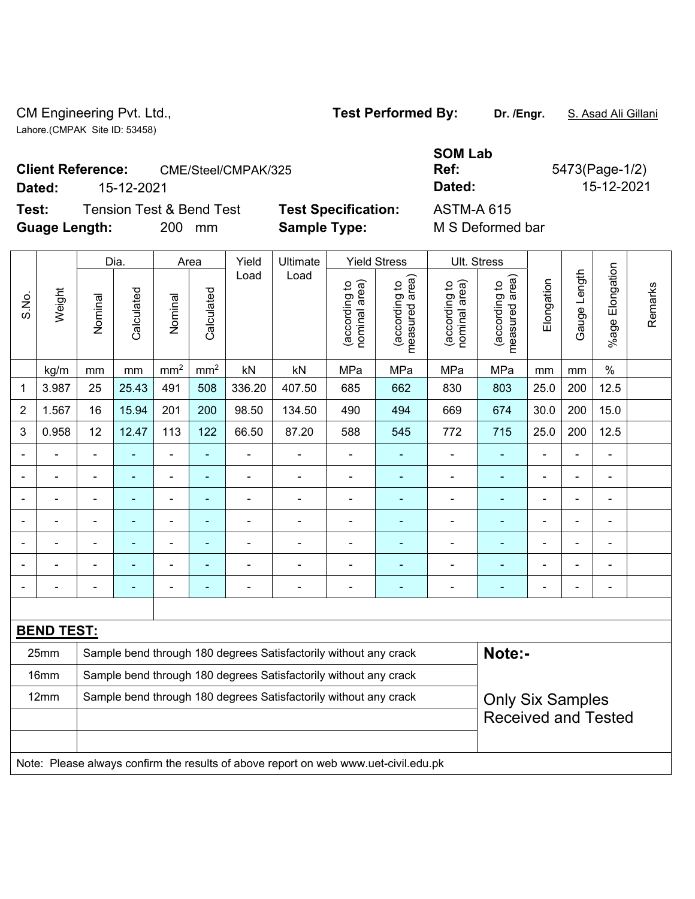CM Engineering Pvt. Ltd., **Test Performed By: Dr. /Engr.** S. Asad Ali Gillani Lahore.(CMPAK Site ID: 53458)

**Test:** Tension Test & Bend Test **Test Specification:** A **Guage Length:** 200 mm **Sample Type:** M S Deformed bar

|        |                                                 |                            | <b>SOM Lab</b>    |                |
|--------|-------------------------------------------------|----------------------------|-------------------|----------------|
|        | <b>Client Reference:</b><br>CME/Steel/CMPAK/325 |                            | Ref:              | 5473(Page-1/2) |
| Dated: | 15-12-2021                                      |                            | Dated:            | 15-12-2021     |
| Test:  | Tension Test & Bend Test                        | <b>Test Specification:</b> | <b>ASTM-A 615</b> |                |

|                          |                                                                                     | Dia.           | Area           |                 | Yield<br>Ultimate |                |                                                                  | <b>Yield Stress</b>            |                                 | Ult. Stress                    |                                                                   |                              |                          |                        |         |
|--------------------------|-------------------------------------------------------------------------------------|----------------|----------------|-----------------|-------------------|----------------|------------------------------------------------------------------|--------------------------------|---------------------------------|--------------------------------|-------------------------------------------------------------------|------------------------------|--------------------------|------------------------|---------|
| S.No.                    | Weight                                                                              | Nominal        | Calculated     | Nominal         | Calculated        | Load           | Load                                                             | nominal area)<br>(according to | measured area)<br>(according to | nominal area)<br>(according to | measured area)<br>(according to                                   | Elongation                   | Gauge Length             | Elongation<br>$%$ agel | Remarks |
|                          | kg/m                                                                                | mm             | mm             | mm <sup>2</sup> | mm <sup>2</sup>   | kN             | kN                                                               | MPa                            | MPa                             | MPa                            | MPa                                                               | mm                           | mm                       | $\%$                   |         |
| 1                        | 3.987                                                                               | 25             | 25.43          | 491             | 508               | 336.20         | 407.50                                                           | 685                            | 662                             | 830                            | 803                                                               | 25.0                         | 200                      | 12.5                   |         |
| $\overline{2}$           | 1.567                                                                               | 16             | 15.94          | 201             | 200               | 98.50          | 134.50                                                           | 490                            | 494                             | 669                            | 674                                                               | 30.0                         | 200                      | 15.0                   |         |
| 3                        | 0.958                                                                               | 12             | 12.47          | 113             | 122               | 66.50          | 87.20                                                            | 588                            | 545                             | 772                            | 715                                                               | 25.0                         | 200                      | 12.5                   |         |
|                          |                                                                                     | ä,             |                | ÷               | ä,                |                |                                                                  |                                |                                 |                                |                                                                   |                              | $\blacksquare$           | $\blacksquare$         |         |
| $\overline{\phantom{0}}$ |                                                                                     | $\overline{a}$ |                | $\blacksquare$  | ٠                 | ÷              | ÷,                                                               | $\qquad \qquad \blacksquare$   | ۰                               | $\overline{\phantom{0}}$       | ۰                                                                 | $\blacksquare$               | $\overline{\phantom{a}}$ | $\blacksquare$         |         |
| $\blacksquare$           |                                                                                     | -              | $\blacksquare$ | $\blacksquare$  | $\blacksquare$    | ÷,             | $\blacksquare$                                                   | $\overline{a}$                 | ۰                               | $\blacksquare$                 | $\blacksquare$<br>$\blacksquare$<br>$\overline{\phantom{a}}$<br>٠ |                              |                          |                        |         |
| $\blacksquare$           | ÷                                                                                   | $\blacksquare$ | $\blacksquare$ | $\blacksquare$  | $\blacksquare$    | $\blacksquare$ | $\blacksquare$                                                   | $\blacksquare$                 | ä,                              | $\blacksquare$                 | ۰                                                                 | $\blacksquare$               | $\blacksquare$           | $\blacksquare$         |         |
|                          |                                                                                     | $\blacksquare$ |                | ä,              | ÷,                | ÷              |                                                                  | $\blacksquare$                 |                                 |                                | $\blacksquare$                                                    | $\blacksquare$               | L,                       | $\blacksquare$         |         |
|                          |                                                                                     |                |                |                 |                   |                |                                                                  |                                |                                 |                                |                                                                   |                              |                          |                        |         |
| $\blacksquare$           |                                                                                     | -              | $\blacksquare$ |                 | ۳                 | $\blacksquare$ |                                                                  | $\qquad \qquad \blacksquare$   | $\overline{\phantom{0}}$        |                                | -                                                                 | $\qquad \qquad \blacksquare$ | $\overline{\phantom{0}}$ | $\overline{a}$         |         |
|                          |                                                                                     |                |                |                 |                   |                |                                                                  |                                |                                 |                                |                                                                   |                              |                          |                        |         |
|                          | <b>BEND TEST:</b>                                                                   |                |                |                 |                   |                |                                                                  |                                |                                 |                                |                                                                   |                              |                          |                        |         |
|                          | 25mm                                                                                |                |                |                 |                   |                | Sample bend through 180 degrees Satisfactorily without any crack |                                |                                 |                                | Note:-                                                            |                              |                          |                        |         |
|                          | 16mm                                                                                |                |                |                 |                   |                | Sample bend through 180 degrees Satisfactorily without any crack |                                |                                 |                                |                                                                   |                              |                          |                        |         |
|                          | 12mm                                                                                |                |                |                 |                   |                | Sample bend through 180 degrees Satisfactorily without any crack |                                |                                 |                                | <b>Only Six Samples</b>                                           |                              |                          |                        |         |
|                          |                                                                                     |                |                |                 |                   |                |                                                                  |                                |                                 |                                | <b>Received and Tested</b>                                        |                              |                          |                        |         |
|                          |                                                                                     |                |                |                 |                   |                |                                                                  |                                |                                 |                                |                                                                   |                              |                          |                        |         |
|                          | Note: Please always confirm the results of above report on web www.uet-civil.edu.pk |                |                |                 |                   |                |                                                                  |                                |                                 |                                |                                                                   |                              |                          |                        |         |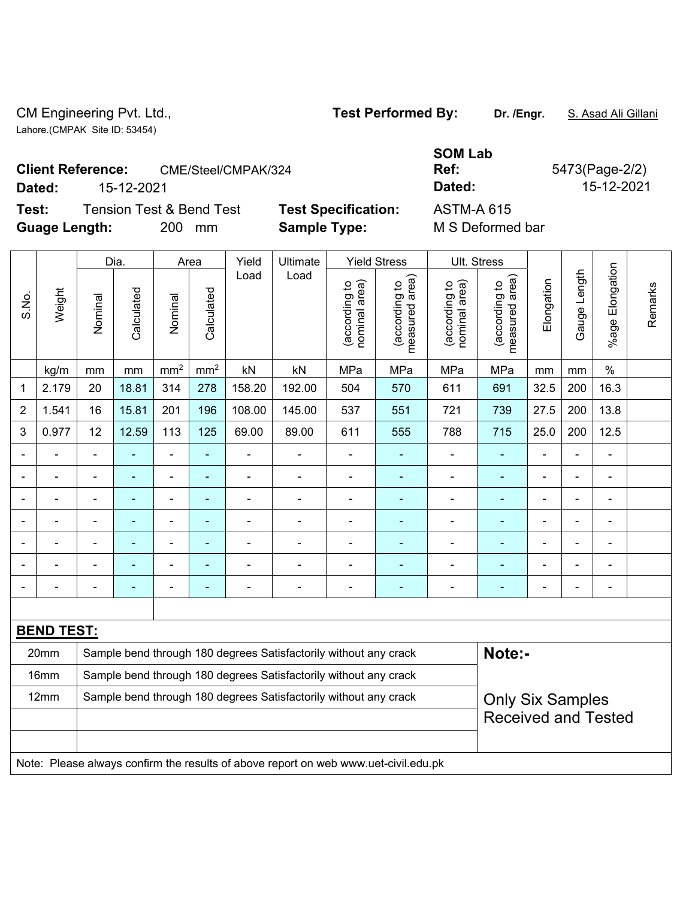CM Engineering Pvt. Ltd., **Test Performed By: Dr. /Engr.** S. Asad Ali Gillani Lahore.(CMPAK Site ID: 53454)

Test: Tension Test & Bend Test Test Specification: A **Guage Length:** 200 mm **Sample Type:** M S Deformed bar

|        | <b>Client Reference:</b><br>CME/Steel/CMPAK/324 |                            | <b>SOM Lab</b><br>Ref: | 5473(Page-2/2) |
|--------|-------------------------------------------------|----------------------------|------------------------|----------------|
| Dated: | 15-12-2021                                      |                            | Dated:                 | 15-12-2021     |
| Test:  | Tension Test & Bend Test                        | <b>Test Specification:</b> | <b>ASTM-A 615</b>      |                |

|                |                   |                                                                                     | Dia.           |                          | Area                     | Yield          | <b>Ultimate</b>                                                  |                                | <b>Yield Stress</b>             | Ult. Stress                    |                                 |                          |                |                 |         |
|----------------|-------------------|-------------------------------------------------------------------------------------|----------------|--------------------------|--------------------------|----------------|------------------------------------------------------------------|--------------------------------|---------------------------------|--------------------------------|---------------------------------|--------------------------|----------------|-----------------|---------|
| S.No.          | Weight            | Nominal                                                                             | Calculated     | Nominal                  | Calculated               | Load           | Load                                                             | nominal area)<br>(according to | (according to<br>measured area) | nominal area)<br>(according to | measured area)<br>(according to | Elongation               | Gauge Length   | %age Elongation | Remarks |
|                | kg/m              | mm                                                                                  | mm             | mm <sup>2</sup>          | $\rm mm^2$               | kN             | kN                                                               | MPa                            | MPa                             | MPa                            | MPa                             | mm                       | mm             | $\%$            |         |
| 1              | 2.179             | 20                                                                                  | 18.81          | 314                      | 278                      | 158.20         | 192.00                                                           | 504                            | 570                             | 611                            | 691                             | 32.5                     | 200            | 16.3            |         |
| 2              | 1.541             | 16                                                                                  | 15.81          | 201                      | 196                      | 108.00         | 145.00                                                           | 537                            | 551                             | 721                            | 739                             | 27.5                     | 200            | 13.8            |         |
| 3              | 0.977             | 12                                                                                  | 12.59          | 113                      | 125                      | 69.00          | 89.00                                                            | 611                            | 555                             | 788                            | 715                             | 25.0                     | 200            | 12.5            |         |
| $\blacksquare$ |                   | ä,                                                                                  | ÷,             | $\overline{\phantom{a}}$ | $\blacksquare$           | ÷,             | $\blacksquare$                                                   | $\blacksquare$                 | ÷,                              | $\blacksquare$                 | $\blacksquare$                  | $\blacksquare$           | ä,             | $\blacksquare$  |         |
|                |                   | $\blacksquare$                                                                      | $\blacksquare$ | ä,                       | ۰                        | $\blacksquare$ | $\blacksquare$                                                   | $\blacksquare$                 | $\blacksquare$                  | $\blacksquare$                 | $\blacksquare$                  | $\blacksquare$           | $\blacksquare$ | $\blacksquare$  |         |
|                |                   | $\blacksquare$                                                                      |                | $\blacksquare$           | ۰                        | -              |                                                                  | $\overline{\phantom{0}}$       | $\blacksquare$                  | $\blacksquare$                 | $\blacksquare$                  |                          |                | $\blacksquare$  |         |
|                |                   | ä,                                                                                  | $\blacksquare$ | Ē,                       | ۰                        | $\blacksquare$ | $\blacksquare$                                                   | $\blacksquare$                 | $\blacksquare$                  | $\blacksquare$                 | ٠                               | $\blacksquare$           | $\blacksquare$ | $\blacksquare$  |         |
| $\blacksquare$ |                   | $\blacksquare$                                                                      |                | Ē,                       | ۰                        | $\blacksquare$ | $\blacksquare$                                                   | $\blacksquare$                 | ٠                               |                                |                                 | $\blacksquare$           | $\blacksquare$ | $\blacksquare$  |         |
|                |                   | $\blacksquare$                                                                      |                | $\blacksquare$           | $\overline{\phantom{0}}$ | $\overline{a}$ | $\blacksquare$                                                   | $\overline{\phantom{0}}$       | $\overline{\phantom{0}}$        | $\overline{\phantom{0}}$       | $\blacksquare$                  | $\overline{\phantom{0}}$ | ٠              | $\blacksquare$  |         |
| $\blacksquare$ |                   |                                                                                     | $\blacksquare$ | ÷,                       | $\blacksquare$           | ÷,             | $\blacksquare$                                                   | $\blacksquare$                 | ٠                               | $\overline{a}$                 | ٠                               | $\blacksquare$           | $\blacksquare$ | $\blacksquare$  |         |
|                |                   |                                                                                     |                |                          |                          |                |                                                                  |                                |                                 |                                |                                 |                          |                |                 |         |
|                | <b>BEND TEST:</b> |                                                                                     |                |                          |                          |                |                                                                  |                                |                                 |                                |                                 |                          |                |                 |         |
|                | 20mm              |                                                                                     |                |                          |                          |                | Sample bend through 180 degrees Satisfactorily without any crack |                                |                                 |                                | Note:-                          |                          |                |                 |         |
|                | 16mm              | Sample bend through 180 degrees Satisfactorily without any crack                    |                |                          |                          |                |                                                                  |                                |                                 |                                |                                 |                          |                |                 |         |
|                | 12mm              |                                                                                     |                |                          |                          |                | Sample bend through 180 degrees Satisfactorily without any crack |                                |                                 |                                | <b>Only Six Samples</b>         |                          |                |                 |         |
|                |                   |                                                                                     |                |                          |                          |                |                                                                  |                                |                                 |                                | <b>Received and Tested</b>      |                          |                |                 |         |
|                |                   |                                                                                     |                |                          |                          |                |                                                                  |                                |                                 |                                |                                 |                          |                |                 |         |
|                |                   | Note: Please always confirm the results of above report on web www.uet-civil.edu.pk |                |                          |                          |                |                                                                  |                                |                                 |                                |                                 |                          |                |                 |         |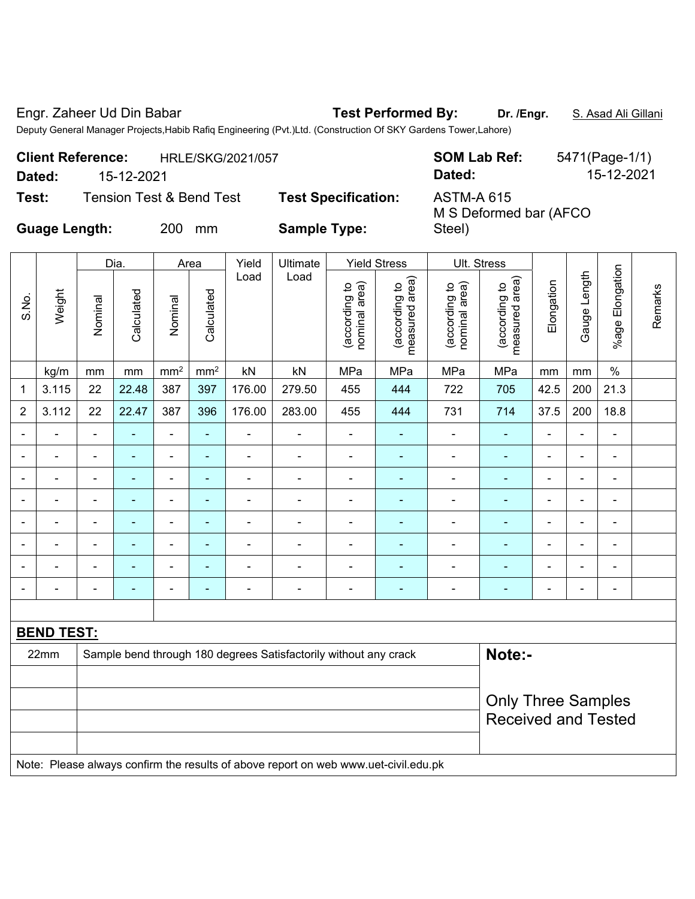Engr. Zaheer Ud Din Babar **Test Performed By: Dr. /Engr.** S. Asad Ali Gillani

Deputy General Manager Projects,Habib Rafiq Engineering (Pvt.)Ltd. (Construction Of SKY Gardens Tower,Lahore)

| <b>Client Reference:</b> |            | HRLE/SKG/2021/057                   |                            | <b>SOM Lab Ref:</b>                         | 5471(Page-1/1) |  |  |  |
|--------------------------|------------|-------------------------------------|----------------------------|---------------------------------------------|----------------|--|--|--|
| Dated:                   | 15-12-2021 |                                     |                            | Dated:                                      | 15-12-2021     |  |  |  |
| Test:                    |            | <b>Tension Test &amp; Bend Test</b> | <b>Test Specification:</b> | <b>ASTM-A 615</b><br>M S Deformed bar (AFCO |                |  |  |  |
| <b>Guage Length:</b>     |            | 200<br>mm                           | <b>Sample Type:</b>        | Steel)                                      |                |  |  |  |

**Guage Length:** 200 mm **Sample Type:** 

|                   |                           | Dia.                                                                       |                | Area            |                          | Yield          | Ultimate                                                                            | <b>Yield Stress</b>            |                                 | Ult. Stress                    |                                 |                |                |                           |         |
|-------------------|---------------------------|----------------------------------------------------------------------------|----------------|-----------------|--------------------------|----------------|-------------------------------------------------------------------------------------|--------------------------------|---------------------------------|--------------------------------|---------------------------------|----------------|----------------|---------------------------|---------|
| S.No.             | Weight                    | Nominal                                                                    | Calculated     | Nominal         | Calculated               | Load           | Load                                                                                | nominal area)<br>(according to | measured area)<br>(according to | nominal area)<br>(according to | measured area)<br>(according to | Elongation     | Gauge Length   | Elongation<br>$%$ age $I$ | Remarks |
|                   | kg/m                      | mm                                                                         | mm             | mm <sup>2</sup> | mm <sup>2</sup>          | kN             | kN                                                                                  | MPa                            | MPa                             | MPa                            | MPa                             | mm             | mm             | $\%$                      |         |
| 1                 | 3.115                     | 22                                                                         | 22.48          | 387             | 397                      | 176.00         | 279.50                                                                              | 455                            | 444                             | 722                            | 705                             | 42.5           | 200            | 21.3                      |         |
| $\overline{2}$    | 3.112                     | 22                                                                         | 22.47          | 387             | 396                      | 176.00         | 283.00                                                                              | 455                            | 444                             | 731                            | 714                             | 37.5           | 200            | 18.8                      |         |
| $\blacksquare$    |                           | $\overline{a}$                                                             | $\blacksquare$ | $\blacksquare$  | ä,                       | ä,             | $\overline{a}$                                                                      | $\blacksquare$                 | $\blacksquare$                  | ä,                             | $\blacksquare$                  | $\blacksquare$ | ÷.             | ä,                        |         |
| $\blacksquare$    |                           | ä,                                                                         | ÷,             | ÷,              | $\blacksquare$           | ÷,             | ä,                                                                                  | $\blacksquare$                 | $\blacksquare$                  | $\overline{\phantom{a}}$       | $\blacksquare$                  | $\blacksquare$ | $\frac{1}{2}$  | $\frac{1}{2}$             |         |
| $\blacksquare$    |                           | $\overline{\phantom{a}}$                                                   | $\blacksquare$ | ٠               | ٠                        | $\blacksquare$ | $\blacksquare$                                                                      | $\blacksquare$                 | $\blacksquare$                  |                                | $\blacksquare$                  | $\blacksquare$ | ÷,             | $\blacksquare$            |         |
|                   |                           | $\blacksquare$                                                             | ٠              | $\blacksquare$  | $\blacksquare$           | $\blacksquare$ | $\blacksquare$                                                                      | $\blacksquare$                 | $\blacksquare$                  |                                | $\blacksquare$                  | $\blacksquare$ | $\blacksquare$ | ä,                        |         |
| $\blacksquare$    | $\blacksquare$            | ٠                                                                          | $\blacksquare$ | ۰               | $\blacksquare$           | $\blacksquare$ | $\blacksquare$                                                                      | $\blacksquare$                 | $\blacksquare$                  | $\overline{a}$                 | $\blacksquare$                  | $\blacksquare$ | $\blacksquare$ | $\blacksquare$            |         |
|                   |                           | $\overline{\phantom{0}}$                                                   |                | ۰               | $\blacksquare$           | $\blacksquare$ | ٠                                                                                   | Ē,                             | ٠                               |                                |                                 |                | ÷              | $\blacksquare$            |         |
|                   |                           |                                                                            |                |                 |                          |                |                                                                                     |                                |                                 | $\blacksquare$                 |                                 |                |                | $\blacksquare$            |         |
|                   |                           | $\blacksquare$                                                             | ۰              | $\blacksquare$  | $\overline{\phantom{0}}$ | $\blacksquare$ | $\blacksquare$                                                                      | $\blacksquare$                 | ٠                               |                                | $\blacksquare$                  | $\blacksquare$ | $\blacksquare$ | $\blacksquare$            |         |
|                   |                           |                                                                            |                |                 |                          |                |                                                                                     |                                |                                 |                                |                                 |                |                |                           |         |
| <b>BEND TEST:</b> |                           |                                                                            |                |                 |                          |                |                                                                                     |                                |                                 |                                |                                 |                |                |                           |         |
|                   | 22mm                      | Note:-<br>Sample bend through 180 degrees Satisfactorily without any crack |                |                 |                          |                |                                                                                     |                                |                                 |                                |                                 |                |                |                           |         |
|                   |                           |                                                                            |                |                 |                          |                |                                                                                     |                                |                                 |                                |                                 |                |                |                           |         |
|                   | <b>Only Three Samples</b> |                                                                            |                |                 |                          |                |                                                                                     |                                |                                 |                                |                                 |                |                |                           |         |
|                   |                           |                                                                            |                |                 |                          |                |                                                                                     |                                |                                 | <b>Received and Tested</b>     |                                 |                |                |                           |         |
|                   |                           |                                                                            |                |                 |                          |                |                                                                                     |                                |                                 |                                |                                 |                |                |                           |         |
|                   |                           |                                                                            |                |                 |                          |                | Note: Please always confirm the results of above report on web www.uet-civil.edu.pk |                                |                                 |                                |                                 |                |                |                           |         |